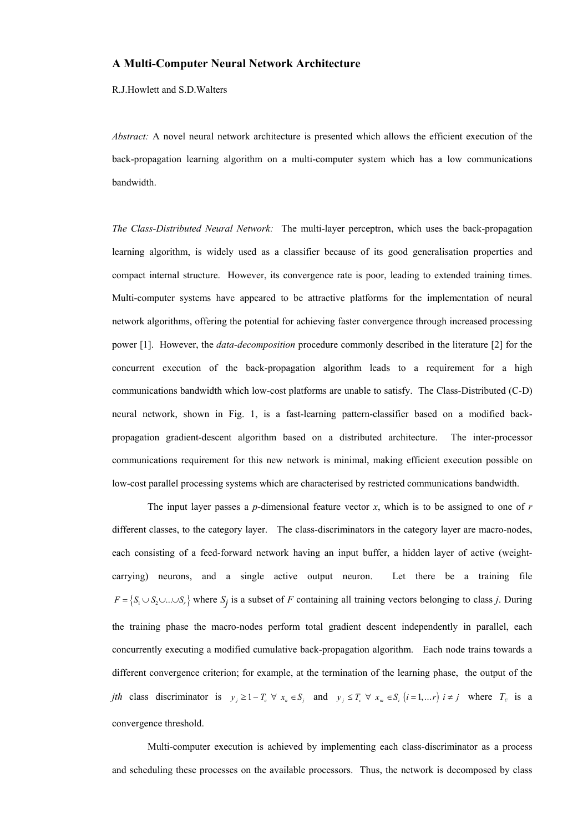## **A Multi-Computer Neural Network Architecture**

R.J.Howlett and S.D.Walters

*Abstract:* A novel neural network architecture is presented which allows the efficient execution of the back-propagation learning algorithm on a multi-computer system which has a low communications bandwidth.

*The Class-Distributed Neural Network:* The multi-layer perceptron, which uses the back-propagation learning algorithm, is widely used as a classifier because of its good generalisation properties and compact internal structure. However, its convergence rate is poor, leading to extended training times. Multi-computer systems have appeared to be attractive platforms for the implementation of neural network algorithms, offering the potential for achieving faster convergence through increased processing power [1]. However, the *data-decomposition* procedure commonly described in the literature [2] for the concurrent execution of the back-propagation algorithm leads to a requirement for a high communications bandwidth which low-cost platforms are unable to satisfy. The Class-Distributed (C-D) neural network, shown in Fig. 1, is a fast-learning pattern-classifier based on a modified backpropagation gradient-descent algorithm based on a distributed architecture. The inter-processor communications requirement for this new network is minimal, making efficient execution possible on low-cost parallel processing systems which are characterised by restricted communications bandwidth.

The input layer passes a *p*-dimensional feature vector *x*, which is to be assigned to one of *r* different classes, to the category layer. The class-discriminators in the category layer are macro-nodes, each consisting of a feed-forward network having an input buffer, a hidden layer of active (weightcarrying) neurons, and a single active output neuron. Let there be a training file  $F = \{S_1 \cup S_2 \cup ... \cup S_r\}$  where  $S_j$  is a subset of *F* containing all training vectors belonging to class *j*. During the training phase the macro-nodes perform total gradient descent independently in parallel, each concurrently executing a modified cumulative back-propagation algorithm. Each node trains towards a different convergence criterion; for example, at the termination of the learning phase, the output of the *jth* class discriminator is  $y_j \geq 1 - T_c \forall x_n \in S_j$  and  $y_j \leq T_c \forall x_m \in S_i$  (*i* = 1,... *r*)  $i \neq j$  where  $T_c$  is a convergence threshold.

Multi-computer execution is achieved by implementing each class-discriminator as a process and scheduling these processes on the available processors. Thus, the network is decomposed by class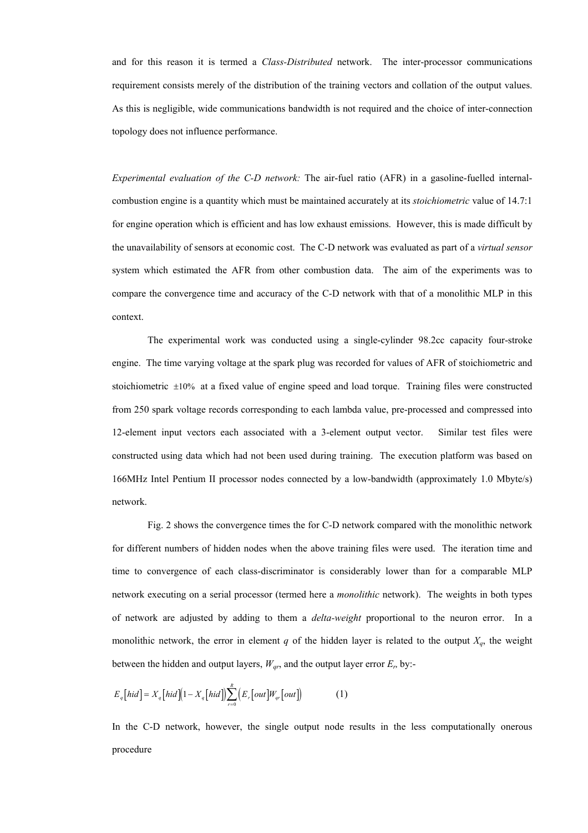and for this reason it is termed a *Class-Distributed* network. The inter-processor communications requirement consists merely of the distribution of the training vectors and collation of the output values. As this is negligible, wide communications bandwidth is not required and the choice of inter-connection topology does not influence performance.

*Experimental evaluation of the C-D network:* The air-fuel ratio (AFR) in a gasoline-fuelled internalcombustion engine is a quantity which must be maintained accurately at its *stoichiometric* value of 14.7:1 for engine operation which is efficient and has low exhaust emissions. However, this is made difficult by the unavailability of sensors at economic cost. The C-D network was evaluated as part of a *virtual sensor* system which estimated the AFR from other combustion data. The aim of the experiments was to compare the convergence time and accuracy of the C-D network with that of a monolithic MLP in this context.

The experimental work was conducted using a single-cylinder 98.2cc capacity four-stroke engine. The time varying voltage at the spark plug was recorded for values of AFR of stoichiometric and stoichiometric ±10% at a fixed value of engine speed and load torque. Training files were constructed from 250 spark voltage records corresponding to each lambda value, pre-processed and compressed into 12-element input vectors each associated with a 3-element output vector. Similar test files were constructed using data which had not been used during training. The execution platform was based on 166MHz Intel Pentium II processor nodes connected by a low-bandwidth (approximately 1.0 Mbyte/s) network.

Fig. 2 shows the convergence times the for C-D network compared with the monolithic network for different numbers of hidden nodes when the above training files were used. The iteration time and time to convergence of each class-discriminator is considerably lower than for a comparable MLP network executing on a serial processor (termed here a *monolithic* network). The weights in both types of network are adjusted by adding to them a *delta-weight* proportional to the neuron error. In a monolithic network, the error in element *q* of the hidden layer is related to the output  $X_q$ , the weight between the hidden and output layers,  $W_{qr}$ , and the output layer error  $E_r$ , by:-

$$
E_q\left[hid\right] = X_q\left[hid\right]\left(1 - X_q\left[ hid\right]\right) \sum_{r=0}^R \left(E_r\left[ out\right]\right) W_{qr}\left[ out\right] \tag{1}
$$

In the C-D network, however, the single output node results in the less computationally onerous procedure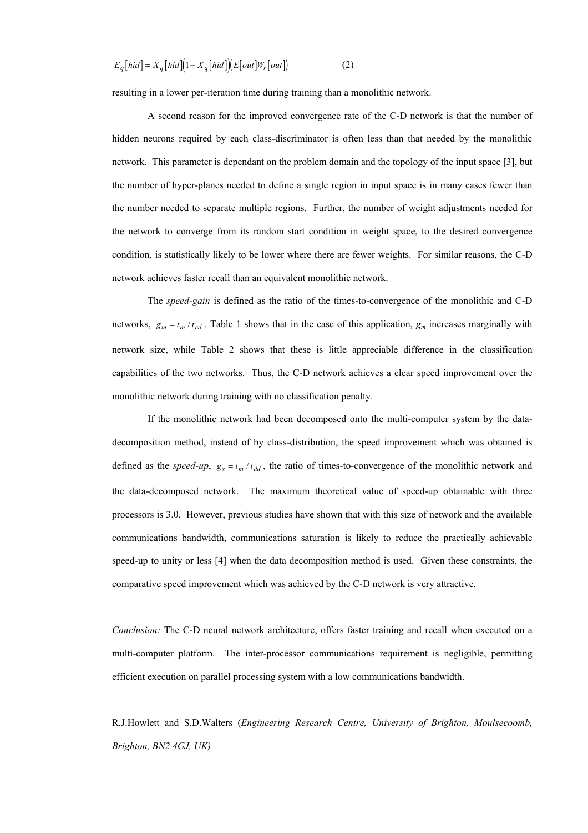$$
E_q\left[hid\right] = X_q\left[hid\right]\left(1 - X_q\left[hid\right]\right)\left(E\left[ out\right]W_r\left[ out\right]\right) \tag{2}
$$

resulting in a lower per-iteration time during training than a monolithic network.

A second reason for the improved convergence rate of the C-D network is that the number of hidden neurons required by each class-discriminator is often less than that needed by the monolithic network. This parameter is dependant on the problem domain and the topology of the input space [3], but the number of hyper-planes needed to define a single region in input space is in many cases fewer than the number needed to separate multiple regions. Further, the number of weight adjustments needed for the network to converge from its random start condition in weight space, to the desired convergence condition, is statistically likely to be lower where there are fewer weights. For similar reasons, the C-D network achieves faster recall than an equivalent monolithic network.

The *speed-gain* is defined as the ratio of the times-to-convergence of the monolithic and C-D networks,  $g_m = t_m / t_{cd}$ . Table 1 shows that in the case of this application,  $g_m$  increases marginally with network size, while Table 2 shows that these is little appreciable difference in the classification capabilities of the two networks. Thus, the C-D network achieves a clear speed improvement over the monolithic network during training with no classification penalty.

If the monolithic network had been decomposed onto the multi-computer system by the datadecomposition method, instead of by class-distribution, the speed improvement which was obtained is defined as the *speed-up*,  $g_s = t_m / t_{dd}$ , the ratio of times-to-convergence of the monolithic network and the data-decomposed network. The maximum theoretical value of speed-up obtainable with three processors is 3.0. However, previous studies have shown that with this size of network and the available communications bandwidth, communications saturation is likely to reduce the practically achievable speed-up to unity or less [4] when the data decomposition method is used. Given these constraints, the comparative speed improvement which was achieved by the C-D network is very attractive.

*Conclusion:* The C-D neural network architecture, offers faster training and recall when executed on a multi-computer platform. The inter-processor communications requirement is negligible, permitting efficient execution on parallel processing system with a low communications bandwidth.

R.J.Howlett and S.D.Walters (*Engineering Research Centre, University of Brighton, Moulsecoomb, Brighton, BN2 4GJ, UK)*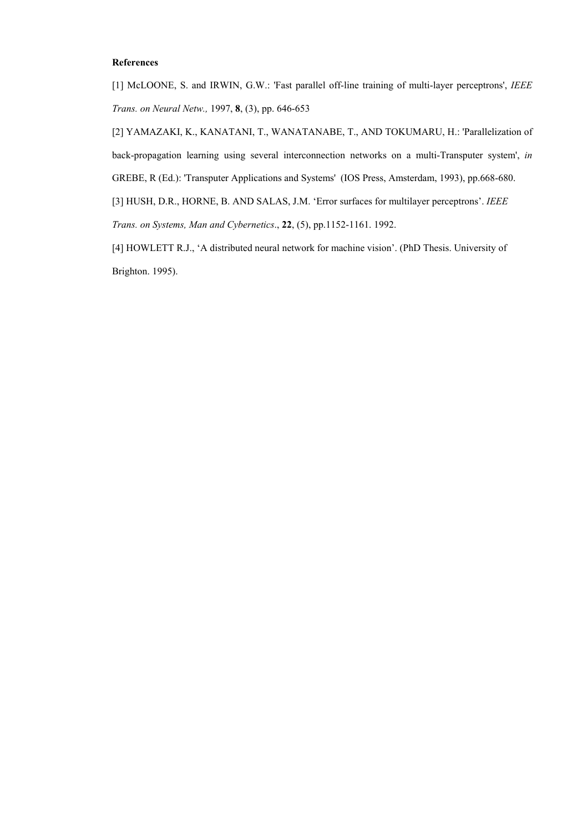## **References**

[1] McLOONE, S. and IRWIN, G.W.: 'Fast parallel off-line training of multi-layer perceptrons', *IEEE Trans. on Neural Netw.,* 1997, **8**, (3), pp. 646-653

[2] YAMAZAKI, K., KANATANI, T., WANATANABE, T., AND TOKUMARU, H.: 'Parallelization of back-propagation learning using several interconnection networks on a multi-Transputer system', *in* GREBE, R (Ed.): 'Transputer Applications and Systems' (IOS Press, Amsterdam, 1993), pp.668-680.

[3] HUSH, D.R., HORNE, B. AND SALAS, J.M. 'Error surfaces for multilayer perceptrons'. *IEEE Trans. on Systems, Man and Cybernetics*., **22**, (5), pp.1152-1161. 1992.

[4] HOWLETT R.J., 'A distributed neural network for machine vision'. (PhD Thesis. University of Brighton. 1995).